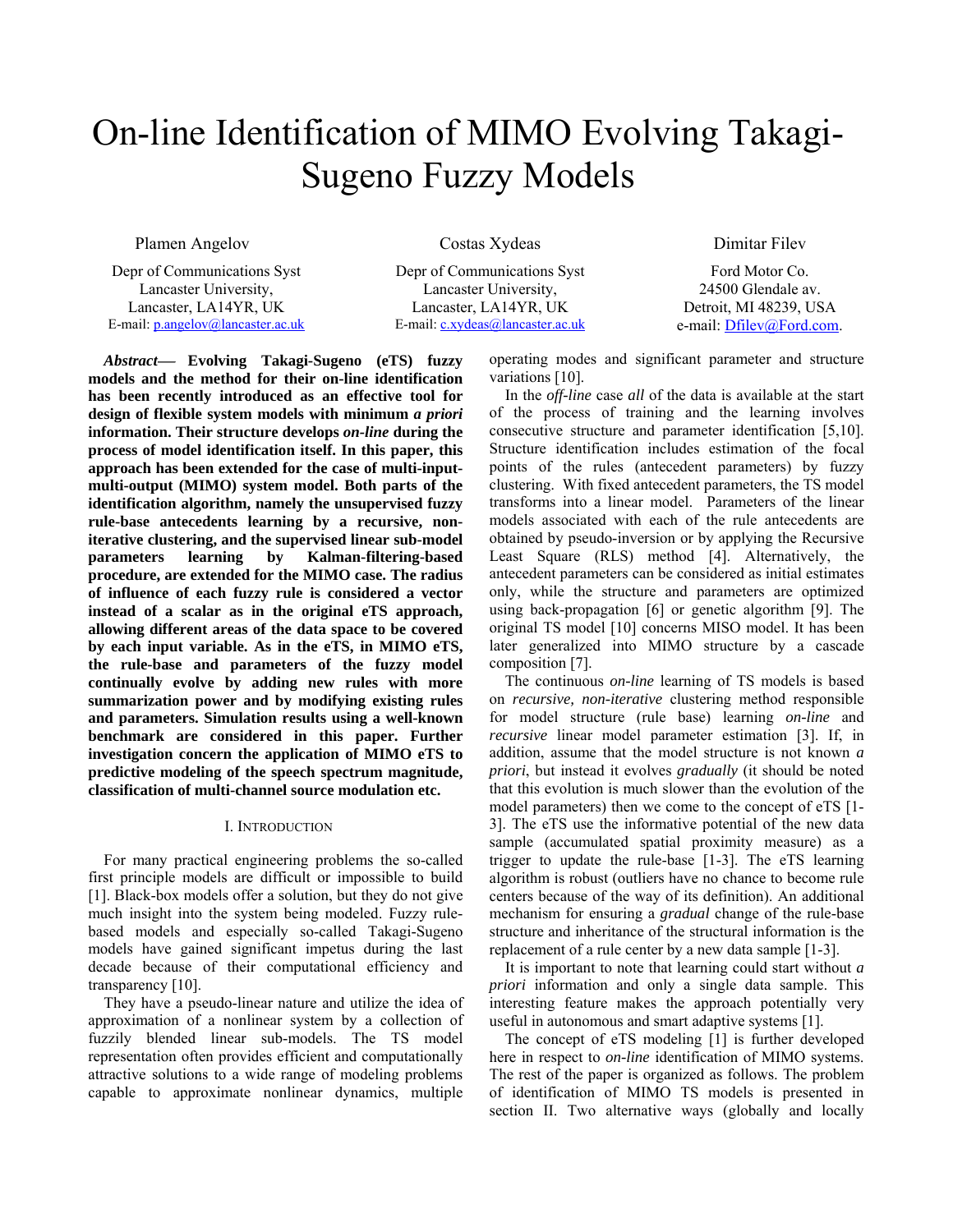# On-line Identification of MIMO Evolving Takagi-Sugeno Fuzzy Models

Plamen Angelov

Costas Xydeas

Depr of Communications Syst Lancaster University, Lancaster, LA14YR, UK E-mail: p.angelov@lancaster.ac.uk

Depr of Communications Syst Lancaster University, Lancaster, LA14YR, UK E-mail: c.xydeas@lancaster.ac.uk Dimitar Filev

Ford Motor Co. 24500 Glendale av. Detroit, MI 48239, USA e-mail: Dfilev@Ford.com.

*Abstract*<sup>⎯</sup> **Evolving Takagi-Sugeno (eTS) fuzzy models and the method for their on-line identification has been recently introduced as an effective tool for design of flexible system models with minimum** *a priori* **information. Their structure develops** *on-line* **during the process of model identification itself. In this paper, this approach has been extended for the case of multi-inputmulti-output (MIMO) system model. Both parts of the identification algorithm, namely the unsupervised fuzzy rule-base antecedents learning by a recursive, noniterative clustering, and the supervised linear sub-model parameters learning by Kalman-filtering-based procedure, are extended for the MIMO case. The radius of influence of each fuzzy rule is considered a vector instead of a scalar as in the original eTS approach, allowing different areas of the data space to be covered by each input variable. As in the eTS, in MIMO eTS, the rule-base and parameters of the fuzzy model continually evolve by adding new rules with more summarization power and by modifying existing rules and parameters. Simulation results using a well-known benchmark are considered in this paper. Further investigation concern the application of MIMO eTS to predictive modeling of the speech spectrum magnitude, classification of multi-channel source modulation etc.** 

## I. INTRODUCTION

For many practical engineering problems the so-called first principle models are difficult or impossible to build [1]. Black-box models offer a solution, but they do not give much insight into the system being modeled. Fuzzy rulebased models and especially so-called Takagi-Sugeno models have gained significant impetus during the last decade because of their computational efficiency and transparency [10].

They have a pseudo-linear nature and utilize the idea of approximation of a nonlinear system by a collection of fuzzily blended linear sub-models. The TS model representation often provides efficient and computationally attractive solutions to a wide range of modeling problems capable to approximate nonlinear dynamics, multiple

operating modes and significant parameter and structure variations [10].

In the *off-line* case *all* of the data is available at the start of the process of training and the learning involves consecutive structure and parameter identification [5,10]. Structure identification includes estimation of the focal points of the rules (antecedent parameters) by fuzzy clustering. With fixed antecedent parameters, the TS model transforms into a linear model. Parameters of the linear models associated with each of the rule antecedents are obtained by pseudo-inversion or by applying the Recursive Least Square (RLS) method [4]. Alternatively, the antecedent parameters can be considered as initial estimates only, while the structure and parameters are optimized using back-propagation [6] or genetic algorithm [9]. The original TS model [10] concerns MISO model. It has been later generalized into MIMO structure by a cascade composition [7].

The continuous *on-line* learning of TS models is based on *recursive, non-iterative* clustering method responsible for model structure (rule base) learning *on-line* and *recursive* linear model parameter estimation [3]. If, in addition, assume that the model structure is not known *a priori*, but instead it evolves *gradually* (it should be noted that this evolution is much slower than the evolution of the model parameters) then we come to the concept of eTS [1- 3]. The eTS use the informative potential of the new data sample (accumulated spatial proximity measure) as a trigger to update the rule-base [1-3]. The eTS learning algorithm is robust (outliers have no chance to become rule centers because of the way of its definition). An additional mechanism for ensuring a *gradual* change of the rule-base structure and inheritance of the structural information is the replacement of a rule center by a new data sample [1-3].

It is important to note that learning could start without *a priori* information and only a single data sample. This interesting feature makes the approach potentially very useful in autonomous and smart adaptive systems [1].

The concept of eTS modeling [1] is further developed here in respect to *on-line* identification of MIMO systems. The rest of the paper is organized as follows. The problem of identification of MIMO TS models is presented in section II. Two alternative ways (globally and locally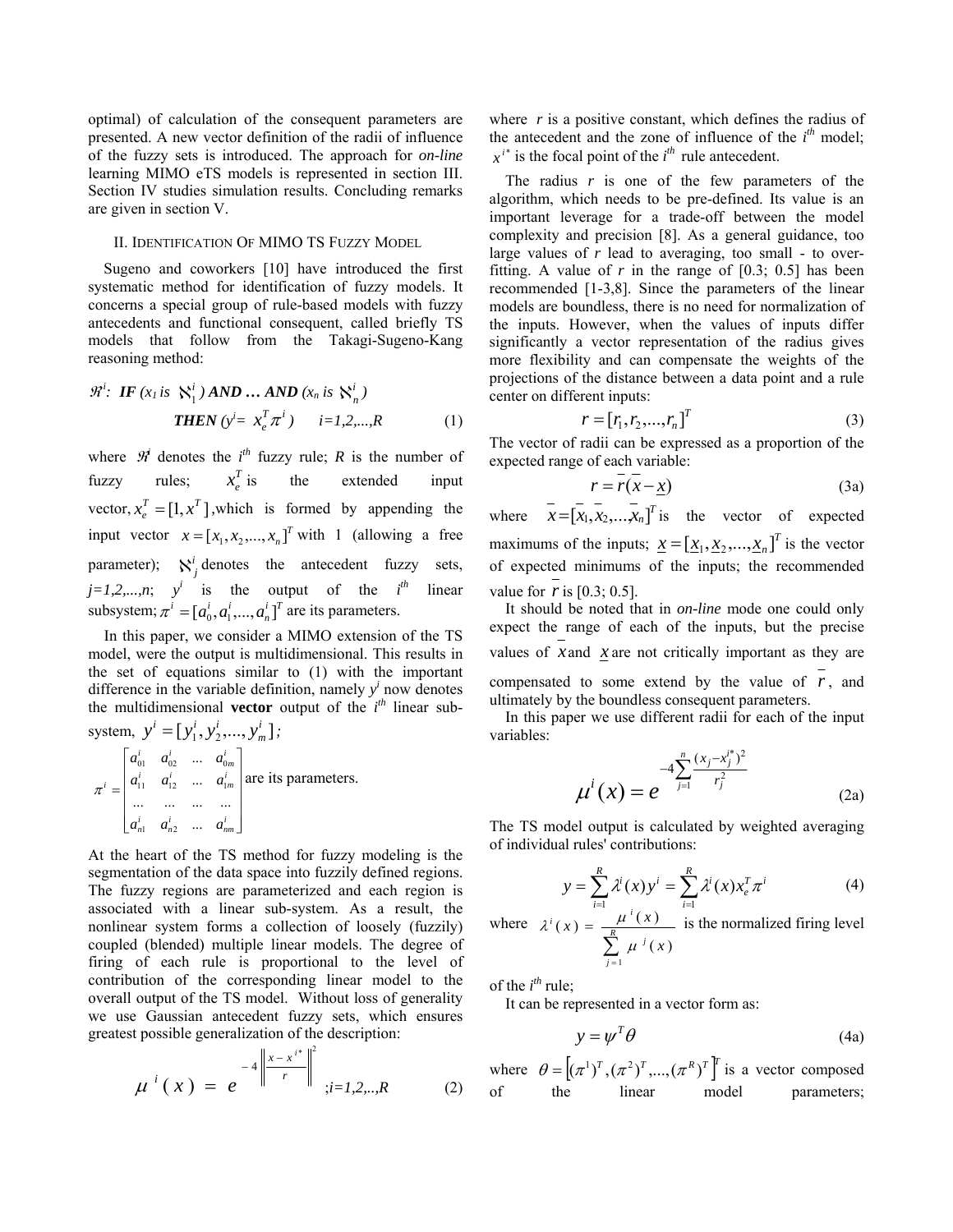optimal) of calculation of the consequent parameters are presented. A new vector definition of the radii of influence of the fuzzy sets is introduced. The approach for *on-line*  learning MIMO eTS models is represented in section III. Section IV studies simulation results. Concluding remarks are given in section V.

## II. IDENTIFICATION OF MIMO TS FUZZY MODEL

Sugeno and coworkers [10] have introduced the first systematic method for identification of fuzzy models. It concerns a special group of rule-based models with fuzzy antecedents and functional consequent, called briefly TS models that follow from the Takagi-Sugeno-Kang reasoning method:

$$
\mathcal{R}^i: \text{ IF } (x_l \text{ is } \aleph_1^i) \text{ AND } \dots \text{ AND } (x_n \text{ is } \aleph_n^i)
$$
  
THEN  $(y^i = x_e^T \pi^i)$   $i=1,2,...,R$  (1)

where  $\mathcal{H}$  denotes the  $i^{th}$  fuzzy rule; *R* is the number of fuzzy rules;  $x_i^T$  is the extended input vector,  $x_e^T = [1, x^T]$ , which is formed by appending the input vector  $x = [x_1, x_2, ..., x_n]^T$  with 1 (allowing a free parameter);  $N_j^i$  denotes the antecedent fuzzy sets,  $j=1,2,...,n$ ;  $y^i$  is the output of the *i th* linear subsystem;  $\pi^i = [a_0^i, a_1^i, ..., a_n^i]^T$  are its parameters.

In this paper, we consider a MIMO extension of the TS model, were the output is multidimensional. This results in the set of equations similar to (1) with the important difference in the variable definition, namely  $y^i$  now denotes the multidimensional **vector** output of the  $i^{th}$  linear subsystem,  $y^i = [y_1^i, y_2^i, ..., y_m^i]$  $y^{i} = [y_{1}^{i}, y_{2}^{i}, ..., y_{m}^{i}]$ ;

$$
\pi^{i} = \begin{bmatrix} a_{01}^{i} & a_{02}^{i} & \dots & a_{0m}^{i} \\ a_{11}^{i} & a_{12}^{i} & \dots & a_{1m}^{i} \\ \dots & \dots & \dots & \dots \\ a_{n1}^{i} & a_{n2}^{i} & \dots & a_{nm}^{i} \end{bmatrix}
$$
 are its parameters.

At the heart of the TS method for fuzzy modeling is the segmentation of the data space into fuzzily defined regions. The fuzzy regions are parameterized and each region is associated with a linear sub-system. As a result, the nonlinear system forms a collection of loosely (fuzzily) coupled (blended) multiple linear models. The degree of firing of each rule is proportional to the level of contribution of the corresponding linear model to the overall output of the TS model. Without loss of generality we use Gaussian antecedent fuzzy sets, which ensures greatest possible generalization of the description:

$$
\mu^{i}(x) = e^{-4\left\|\frac{x - x^{i^{*}}}{r}\right\|^{2}}; i = 1, 2, ..., R
$$
 (2)

where  $r$  is a positive constant, which defines the radius of the antecedent and the zone of influence of the *i th* model;  $x^{i*}$  is the focal point of the  $i^{th}$  rule antecedent.

The radius  $r$  is one of the few parameters of the algorithm, which needs to be pre-defined. Its value is an important leverage for a trade-off between the model complexity and precision [8]. As a general guidance, too large values of *r* lead to averaging, too small - to overfitting. A value of  $r$  in the range of  $[0.3; 0.5]$  has been recommended [1-3,8]. Since the parameters of the linear models are boundless, there is no need for normalization of the inputs. However, when the values of inputs differ significantly a vector representation of the radius gives more flexibility and can compensate the weights of the projections of the distance between a data point and a rule center on different inputs:

$$
r = [r_1, r_2, \dots, r_n]^T
$$
\n<sup>(3)</sup>

The vector of radii can be expressed as a proportion of the expected range of each variable:

$$
r = \overline{r(x - x)}
$$
 (3a)

where  $\overline{x} = [\overline{x_1}, \overline{x_2}, \dots, \overline{x_n}]^T$  is the vector of expected maximums of the inputs;  $\underline{x} = [\underline{x}_1, \underline{x}_2, ..., \underline{x}_n]^T$  is the vector of expected minimums of the inputs; the recommended value for *r*is [0.3; 0.5].

It should be noted that in *on-line* mode one could only expect the range of each of the inputs, but the precise values of *x*and *x* are not critically important as they are compensated to some extend by the value of  $r$ , and ultimately by the boundless consequent parameters.

In this paper we use different radii for each of the input variables:

$$
\mu^{i}(x) = e^{-4\sum_{j=1}^{n} \frac{(x_j - x_j^{i*})^2}{r_j^2}}
$$
 (2a)

The TS model output is calculated by weighted averaging of individual rules' contributions:

$$
y = \sum_{i=1}^{R} \lambda^{i}(x) y^{i} = \sum_{i=1}^{R} \lambda^{i}(x) x_{e}^{T} \pi^{i}
$$
 (4)

where  $\sum_{j=1}$  $=\frac{\mu}{\sum_{i=1}^{R}a_{i}}$ *j*  $\mu^{i}$ *x*  $f(x) = \frac{\mu^{i}(x)}{n}$ 1  $(x)$  $(x) = \frac{\mu^{i}(x)}{h}$  $\mu$  $\lambda^{i}(x) = \frac{\mu^{i}(x)}{i}$  is the normalized firing level

of the  $i^{th}$  rule;

It can be represented in a vector form as:

$$
y = \psi^T \theta \tag{4a}
$$

where  $\theta = [ (\pi^1)^T, (\pi^2)^T, ..., (\pi^R)^T ]^T$  is a vector composed of the linear model parameters;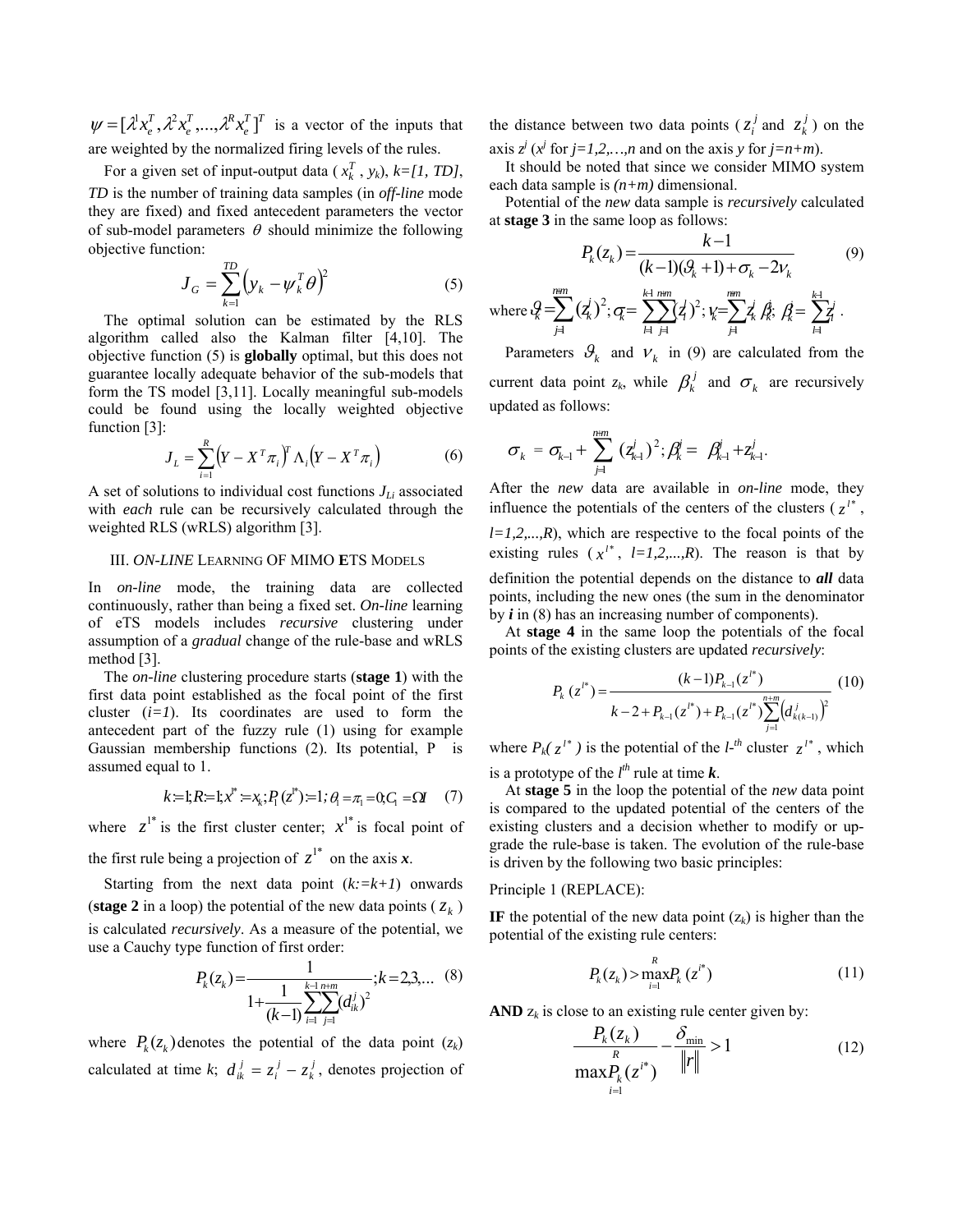$T \mathbf{1}$ *e T R e*  $\psi = [\lambda^1 x_e^T, \lambda^2 x_e^T, ..., \lambda^R x_e^T]^T$  is a vector of the inputs that are weighted by the normalized firing levels of the rules.

For a given set of input-output data ( $x_k^T$ ,  $y_k$ ),  $k = [1, TD]$ , *TD* is the number of training data samples (in *off-line* mode they are fixed) and fixed antecedent parameters the vector of sub-model parameters  $\theta$  should minimize the following objective function:

$$
\boldsymbol{J}_G = \sum_{k=1}^{TD} \left( \boldsymbol{y}_k - \boldsymbol{\psi}_k^T \boldsymbol{\theta} \right)^2 \tag{5}
$$

The optimal solution can be estimated by the RLS algorithm called also the Kalman filter [4,10]. The objective function (5) is **globally** optimal, but this does not guarantee locally adequate behavior of the sub-models that form the TS model [3,11]. Locally meaningful sub-models could be found using the locally weighted objective function [3]:

$$
J_L = \sum_{i=1}^{R} \left( Y - X^T \pi_i \right)^T \Lambda_i \left( Y - X^T \pi_i \right) \tag{6}
$$

A set of solutions to individual cost functions  $J_{Li}$  associated with *each* rule can be recursively calculated through the weighted RLS (wRLS) algorithm [3].

#### III. *ON-LINE* LEARNING OF MIMO **E**TS MODELS

In *on-line* mode, the training data are collected continuously, rather than being a fixed set. *On-line* learning of eTS models includes *recursive* clustering under assumption of a *gradual* change of the rule-base and wRLS method [3].

The *on-line* clustering procedure starts (**stage 1**) with the first data point established as the focal point of the first cluster  $(i=1)$ . Its coordinates are used to form the antecedent part of the fuzzy rule (1) using for example Gaussian membership functions (2). Its potential, P is assumed equal to 1.

$$
k=1; R=1; x^*:=x_k; P_1(z^*)=1; \theta_1=\pi_1=0; C_1=\Omega
$$
 (7)

where  $z^{1*}$  is the first cluster center;  $x^{1*}$  is focal point of the first rule being a projection of  $z^{1*}$  on the axis x.

Starting from the next data point  $(k:=k+1)$  onwards (**stage 2** in a loop) the potential of the new data points ( $z_k$ ) is calculated *recursively*. As a measure of the potential, we use a Cauchy type function of first order:

$$
P_k(z_k) = \frac{1}{1 + \frac{1}{(k-1)} \sum_{i=1}^{k-1} \sum_{j=1}^{n+m} (d_{ik}^j)^2}; k = 2,3,... \quad (8)
$$

where  $P_k(z_k)$  denotes the potential of the data point  $(z_k)$ calculated at time *k*;  $d_{ik}^{j} = z_i^{j} - z_k^{j}$ , denotes projection of the distance between two data points ( $z_i^j$  and  $z_k^j$ ) on the axis  $z^j$  ( $x^j$  for  $j=1,2,...,n$  and on the axis *y* for  $j=n+m$ ).

It should be noted that since we consider MIMO system each data sample is *(n+m)* dimensional.

Potential of the *new* data sample is *recursively* calculated at **stage 3** in the same loop as follows:

$$
P_k(z_k) = \frac{k-1}{(k-1)(\mathcal{G}_k + 1) + \sigma_k - 2v_k} \tag{9}
$$

where 
$$
Q = \sum_{j=1}^{n+m} (\zeta_k^j)^2
$$
;  $Q = \sum_{l=1}^{k+1} \sum_{j=1}^{n+m} (\zeta_k^j)^2$ ;  $V_k = \sum_{j=1}^{n+m} \zeta_k^j$ ,  $\hat{Q} = \sum_{l=1}^{k+1} \zeta_l^j$ .

Parameters  $\mathcal{G}_k$  and  $V_k$  in (9) are calculated from the current data point  $z_k$ , while  $\beta_k^j$  and  $\sigma_k$  are recursively updated as follows:

$$
\sigma_k = \sigma_{k-1} + \sum_{j=1}^{n+m} (z_{k+1}^j)^2; \beta_k^j = \beta_{k-1}^j + z_{k+1}^j.
$$

After the *new* data are available in *on-line* mode, they influence the potentials of the centers of the clusters  $(z^{l*}, z^l)$  $l=1,2,...,R$ , which are respective to the focal points of the existing rules  $(x^{l*}, l=1,2,...,R)$ . The reason is that by definition the potential depends on the distance to *all* data points, including the new ones (the sum in the denominator by *i* in (8) has an increasing number of components).

At **stage 4** in the same loop the potentials of the focal points of the existing clusters are updated *recursively*:

$$
P_{k}(z^{l^{*}}) = \frac{(k-1)P_{k-1}(z^{l^{*}})}{k-2+P_{k-1}(z^{l^{*}})+P_{k-1}(z^{l^{*}})\sum_{j=1}^{n+m}(d_{k(k-1)}^{j})^{2}}
$$
(10)

where  $P_k(z^{l*})$  is the potential of the  $l^{-th}$  cluster  $z^{l*}$ , which is a prototype of the  $l^{th}$  rule at time  $k$ .

At **stage 5** in the loop the potential of the *new* data point is compared to the updated potential of the centers of the existing clusters and a decision whether to modify or upgrade the rule-base is taken. The evolution of the rule-base is driven by the following two basic principles:

## Principle 1 (REPLACE):

**IF** the potential of the new data point  $(z_k)$  is higher than the potential of the existing rule centers:

$$
P_k(z_k) > \max_{i=1}^R P_k(z^{i^*})
$$
 (11)

**AND**  $z_k$  is close to an existing rule center given by:

$$
\frac{P_k(z_k)}{\max_{i=1}^R (z_i^{i^*})} - \frac{\delta_{\min}}{\|r\|} > 1
$$
 (12)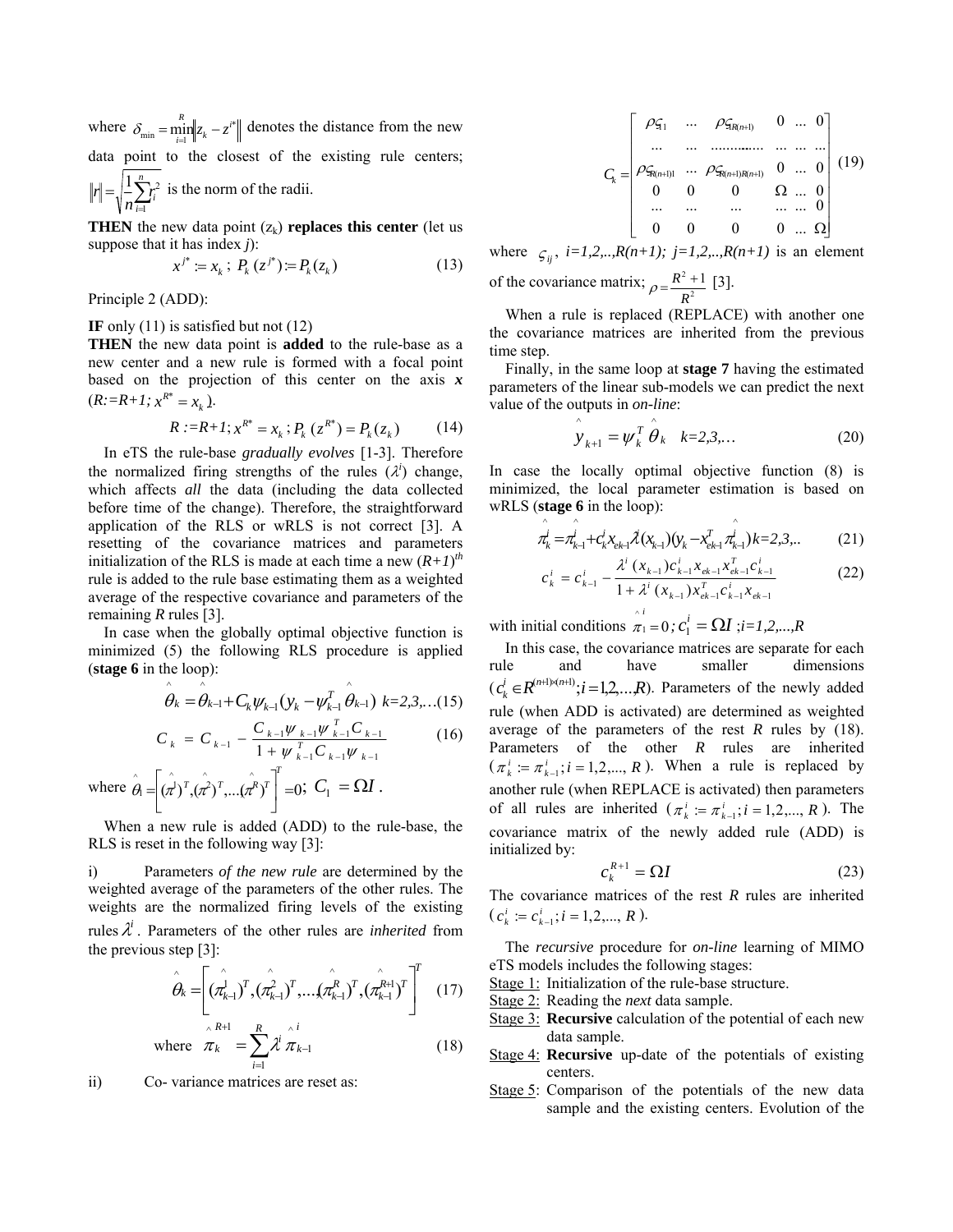where  $\delta_{\min} = \min_{i=1}^{n} |z_k - z^{i^*}|$  $\delta_{\min} = \min_{i=1}^{R} ||z_k - z^{i*}||$  denotes the distance from the new data point to the closest of the existing rule centers;

 $=\sqrt{\frac{1}{n}\sum_{i=1}^{n}}$  $\sum_{i=1}^{n}$ *n r* 1  $\frac{1}{2} \sum_{r=1}^{n} r^2$  is the norm of the radii.

**THEN** the new data point  $(z_k)$  **replaces this center** (let us suppose that it has index *j*):

$$
x^{j^*} := x_k \; ; \; P_k(z^{j^*}) = P_k(z_k) \tag{13}
$$

Principle 2 (ADD):

## **IF** only (11) is satisfied but not (12)

**THEN** the new data point is **added** to the rule-base as a new center and a new rule is formed with a focal point based on the projection of this center on the axis *x*  $(R:=R+1; x^{R^*} = x_k).$ 

$$
R := R + I; x^{R^*} = x_k; P_k(z^{R^*}) = P_k(z_k)
$$
 (14)

In eTS the rule-base *gradually evolves* [1-3]. Therefore the normalized firing strengths of the rules  $(\lambda^i)$  change, which affects *all* the data (including the data collected before time of the change). Therefore, the straightforward application of the RLS or wRLS is not correct [3]. A resetting of the covariance matrices and parameters initialization of the RLS is made at each time a new  $(R+1)^{th}$ rule is added to the rule base estimating them as a weighted average of the respective covariance and parameters of the remaining *R* rules [3].

In case when the globally optimal objective function is minimized (5) the following RLS procedure is applied (**stage 6** in the loop):  $\wedge$   $\wedge$ 

$$
\hat{\theta}_k = \hat{\theta}_{k-1} + C_k \psi_{k-1} (y_k - \psi_{k-1}^T \hat{\theta}_{k-1}) \quad k = 2, 3, \dots (15)
$$

$$
C_{k} = C_{k-1} - \frac{C_{k-1} \psi_{k-1} \psi_{k-1}^{T} C_{k-1}}{1 + \psi_{k-1}^{T} C_{k-1} \psi_{k-1}}
$$
(16)

where 
$$
\hat{\theta}_1 = \left[ (\hat{\pi}^1)^T, (\hat{\pi}^2)^T, ..., (\hat{\pi}^R)^T \right]^T = 0
$$
;  $C_1 = \Omega I$ .

When a new rule is added (ADD) to the rule-base, the RLS is reset in the following way [3]:

i) Parameters *of the new rule* are determined by the weighted average of the parameters of the other rules. The weights are the normalized firing levels of the existing rules  $\lambda^i$ . Parameters of the other rules are *inherited* from the previous step [3]:

$$
\hat{\theta}_k = \left[ (\hat{\pi}_{k-1}^j)^T, (\hat{\pi}_{k-1}^2)^T, \dots, (\hat{\pi}_{k-1}^R)^T, (\hat{\pi}_{k-1}^{R+1})^T \right]^T \quad (17)
$$

where 
$$
\overline{\pi}_k^{\wedge R+1} = \sum_{i=1}^R \overline{\chi}^i \overline{\pi}_{k-1}
$$
 (18)

ii) Co- variance matrices are reset as:

$$
C_{k} = \begin{bmatrix} \rho_{\mathfrak{N}_{1}} & \cdots & \rho_{\mathfrak{N}_{R(n+1)}} & 0 & \cdots & 0 \\ \cdots & \cdots & \cdots & \cdots & \cdots & \cdots \\ \rho_{\mathfrak{N}_{R(n+1)1}} & \cdots & \rho_{\mathfrak{N}_{R(n+1)R(n+1)}} & 0 & \cdots & 0 \\ 0 & 0 & 0 & \Omega & \cdots & 0 \\ \cdots & \cdots & \cdots & \cdots & \cdots & \cdots & 0 \\ 0 & 0 & 0 & 0 & \cdots & \Omega \end{bmatrix} (19)
$$

where  $\zeta_{ij}$ ,  $i=1,2,...,R(n+1)$ ;  $j=1,2,...,R(n+1)$  is an element of the covariance matrix;  $\rho = \frac{R^2 + 1}{R^2}$ *R*  $\rho = \frac{R^2 + 1}{R^2}$  [3].

When a rule is replaced (REPLACE) with another one the covariance matrices are inherited from the previous time step.

Finally, in the same loop at **stage 7** having the estimated parameters of the linear sub-models we can predict the next value of the outputs in *on-line*:

$$
\hat{y}_{k+1} = \psi_k^T \hat{\theta}_k \quad k=2,3,... \tag{20}
$$

In case the locally optimal objective function (8) is minimized, the local parameter estimation is based on wRLS (**stage 6** in the loop):

$$
\hat{\pi}_{k}^{j} = \hat{\pi}_{k-1}^{j} + c_{k}^{j} x_{ek} \tilde{\mathcal{X}}(x_{k-1})(y_{k} - x_{ek}^{T} \hat{\pi}_{k-1}^{j}) k = 2,3...
$$
 (21)

$$
c_k^i = c_{k-1}^i - \frac{\lambda^i (x_{k-1}) c_{k-1}^i x_{ek-1} x_{ek-1}^i c_{k-1}^i}{1 + \lambda^i (x_{k-1}) x_{ek-1}^i c_{k-1}^i x_{ek-1}^i}
$$
(22)

with initial conditions  $\overline{\pi}_1^i = 0$ ;  $c_1^i = \Omega I$ ; *i*=1,2,...,R

In this case, the covariance matrices are separate for each rule and have smaller dimensions  $(c_k^i \in \mathbb{R}^{(n+i)(n+i)}; i = 1,2,...,R)$ . Parameters of the newly added rule (when ADD is activated) are determined as weighted average of the parameters of the rest *R* rules by (18). Parameters of the other *R* rules are inherited  $(\pi_k^i := \pi_{k-1}^i; i = 1,2,..., R)$ . When a rule is replaced by another rule (when REPLACE is activated) then parameters of all rules are inherited  $(\pi_k^i := \pi_{k-1}^i; i = 1, 2, ..., R)$ . The covariance matrix of the newly added rule (ADD) is initialized by:

$$
c_k^{R+1} = \Omega I \tag{23}
$$

The covariance matrices of the rest *R* rules are inherited  $(c_k^i := c_{k-1}^i; i = 1,2,..., R).$ 

The *recursive* procedure for *on-line* learning of MIMO eTS models includes the following stages:

- Stage 1: Initialization of the rule-base structure.
- Stage 2: Reading the *next* data sample.
- Stage 3: **Recursive** calculation of the potential of each new data sample.
- Stage 4: **Recursive** up-date of the potentials of existing centers.
- Stage 5: Comparison of the potentials of the new data sample and the existing centers. Evolution of the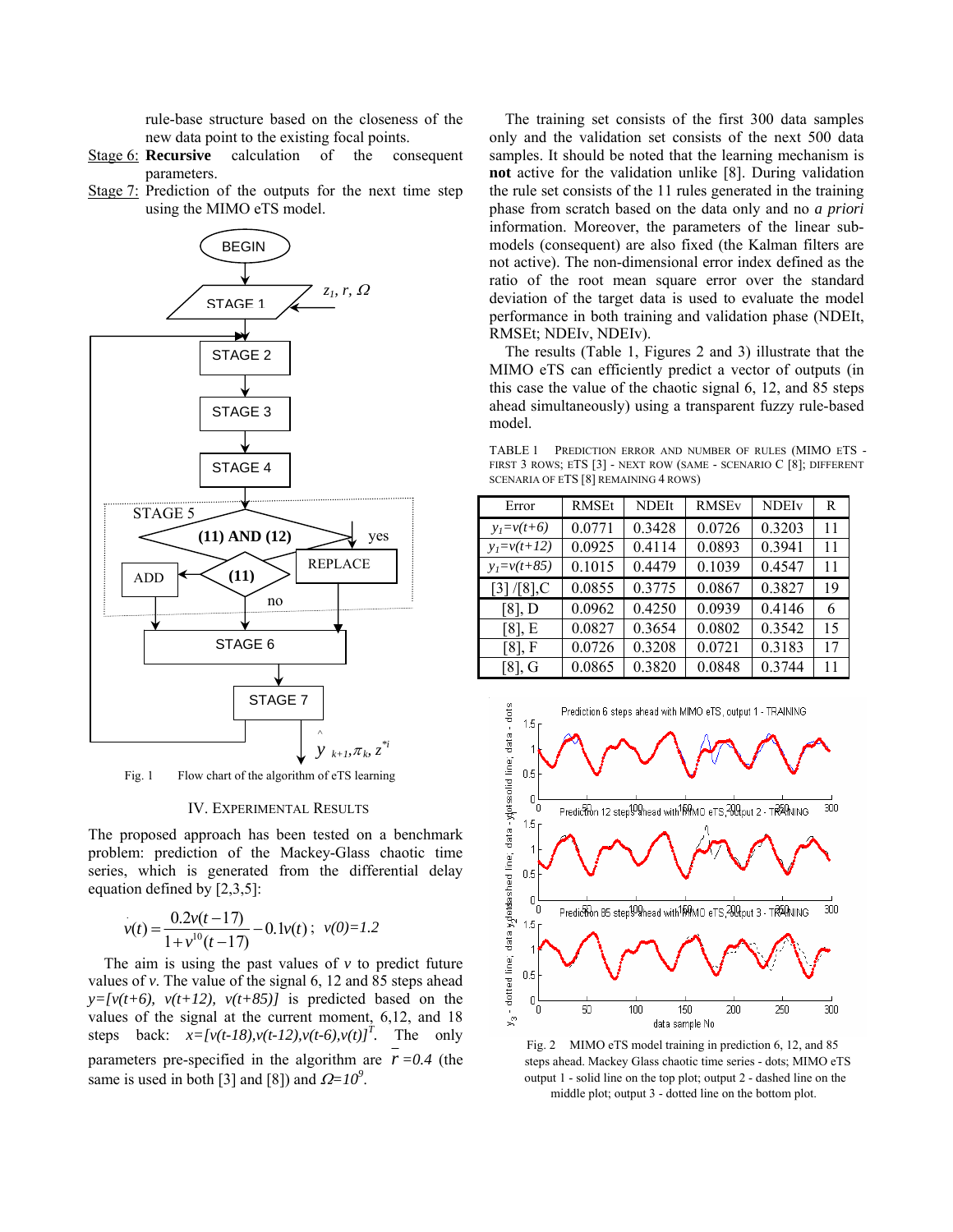rule-base structure based on the closeness of the new data point to the existing focal points.

- Stage 6: **Recursive** calculation of the consequent parameters.
- Stage 7: Prediction of the outputs for the next time step using the MIMO eTS model.



Fig. 1 Flow chart of the algorithm of eTS learning

#### IV. EXPERIMENTAL RESULTS

The proposed approach has been tested on a benchmark problem: prediction of the Mackey-Glass chaotic time series, which is generated from the differential delay equation defined by [2,3,5]:

$$
v(t) = \frac{0.2v(t-17)}{1+v^{10}(t-17)} - 0.1v(t); \ v(0)=1.2
$$

The aim is using the past values of  $\nu$  to predict future values of *v*. The value of the signal 6, 12 and 85 steps ahead  $y=[v(t+6), v(t+12), v(t+85)]$  is predicted based on the values of the signal at the current moment, 6,12, and 18 steps back:  $x = [v(t-18), v(t-12), v(t-6), v(t)]^T$ . The only parameters pre-specified in the algorithm are  $r = 0.4$  (the same is used in both [3] and [8]) and  $\Omega = 10^9$ .

The training set consists of the first 300 data samples only and the validation set consists of the next 500 data samples. It should be noted that the learning mechanism is **not** active for the validation unlike [8]. During validation the rule set consists of the 11 rules generated in the training phase from scratch based on the data only and no *a priori* information. Moreover, the parameters of the linear submodels (consequent) are also fixed (the Kalman filters are not active). The non-dimensional error index defined as the ratio of the root mean square error over the standard deviation of the target data is used to evaluate the model performance in both training and validation phase (NDEIt, RMSEt; NDEIv, NDEIv).

The results (Table 1, Figures 2 and 3) illustrate that the MIMO eTS can efficiently predict a vector of outputs (in this case the value of the chaotic signal 6, 12, and 85 steps ahead simultaneously) using a transparent fuzzy rule-based model.

TABLE 1 PREDICTION ERROR AND NUMBER OF RULES (MIMO ETS - FIRST 3 ROWS; ETS [3] - NEXT ROW (SAME - SCENARIO C [8]; DIFFERENT SCENARIA OF ETS [8] REMAINING 4 ROWS)

| Error           | <b>RMSEt</b> | <b>NDEIt</b> | <b>RMSE<sub>v</sub></b> | <b>NDEIv</b> | R  |
|-----------------|--------------|--------------|-------------------------|--------------|----|
| $y_1 = v(t+6)$  | 0.0771       | 0.3428       | 0.0726                  | 0.3203       | 11 |
| $y_1 = v(t+12)$ | 0.0925       | 0.4114       | 0.0893                  | 0.3941       | 11 |
| $y_1 = v(t+85)$ | 0.1015       | 0.4479       | 0.1039                  | 0.4547       | 11 |
| $[3]/[8]$ ,C    | 0.0855       | 0.3775       | 0.0867                  | 0.3827       | 19 |
| $[8]$ , D       | 0.0962       | 0.4250       | 0.0939                  | 0.4146       | 6  |
| $[8]$ , E       | 0.0827       | 0.3654       | 0.0802                  | 0.3542       | 15 |
| $[8]$ , F       | 0.0726       | 0.3208       | 0.0721                  | 0.3183       | 17 |
| [8]. G          | 0.0865       | 0.3820       | 0.0848                  | 0.3744       | 11 |



Fig. 2 MIMO eTS model training in prediction 6, 12, and 85 steps ahead. Mackey Glass chaotic time series - dots; MIMO eTS output 1 - solid line on the top plot; output 2 - dashed line on the middle plot; output 3 - dotted line on the bottom plot.